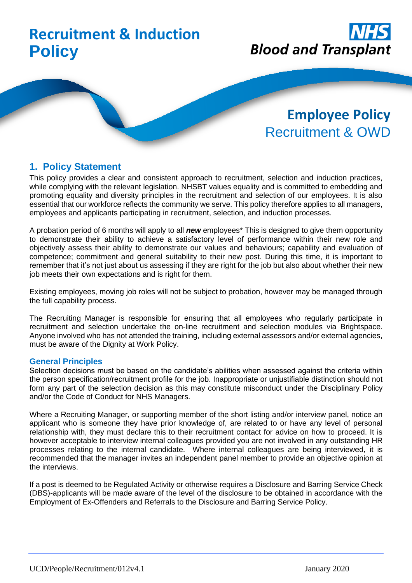# **Recruitment & Induction Policy**



# **Employee Policy** Recruitment & OWD

# **1. Policy Statement**

This policy provides a clear and consistent approach to recruitment, selection and induction practices, while complying with the relevant legislation. NHSBT values equality and is committed to embedding and promoting equality and diversity principles in the recruitment and selection of our employees. It is also essential that our workforce reflects the community we serve. This policy therefore applies to all managers, employees and applicants participating in recruitment, selection, and induction processes.

A probation period of 6 months will apply to all *new* employees\* This is designed to give them opportunity to demonstrate their ability to achieve a satisfactory level of performance within their new role and objectively assess their ability to demonstrate our values and behaviours; capability and evaluation of competence; commitment and general suitability to their new post. During this time, it is important to remember that it's not just about us assessing if they are right for the job but also about whether their new job meets their own expectations and is right for them.

Existing employees, moving job roles will not be subject to probation, however may be managed through the full capability process.

The Recruiting Manager is responsible for ensuring that all employees who regularly participate in recruitment and selection undertake the on-line recruitment and selection modules via Brightspace. Anyone involved who has not attended the training, including external assessors and/or external agencies, must be aware of the Dignity at Work Policy.

#### **General Principles**

Selection decisions must be based on the candidate's abilities when assessed against the criteria within the person specification/recruitment profile for the job. Inappropriate or unjustifiable distinction should not form any part of the selection decision as this may constitute misconduct under the Disciplinary Policy and/or the Code of Conduct for NHS Managers.

Where a Recruiting Manager, or supporting member of the short listing and/or interview panel, notice an applicant who is someone they have prior knowledge of, are related to or have any level of personal relationship with, they must declare this to their recruitment contact for advice on how to proceed. It is however acceptable to interview internal colleagues provided you are not involved in any outstanding HR processes relating to the internal candidate. Where internal colleagues are being interviewed, it is recommended that the manager invites an independent panel member to provide an objective opinion at the interviews.

If a post is deemed to be Regulated Activity or otherwise requires a Disclosure and Barring Service Check (DBS)-applicants will be made aware of the level of the disclosure to be obtained in accordance with the Employment of Ex-Offenders and Referrals to the Disclosure and Barring Service Policy.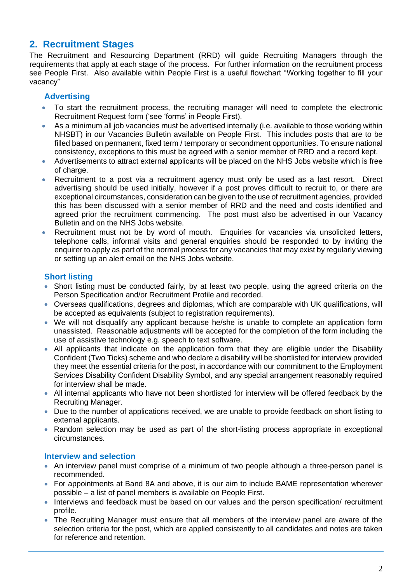# **2. Recruitment Stages**

The Recruitment and Resourcing Department (RRD) will guide Recruiting Managers through the requirements that apply at each stage of the process. For further information on the recruitment process see People First. Also available within People First is a useful flowchart "Working together to fill your vacancy"

# **Advertising**

- To start the recruitment process, the recruiting manager will need to complete the electronic Recruitment Request form ('see 'forms' in People First).
- As a minimum all job vacancies must be advertised internally (i.e. available to those working within NHSBT) in our Vacancies Bulletin available on People First. This includes posts that are to be filled based on permanent, fixed term / temporary or secondment opportunities. To ensure national consistency, exceptions to this must be agreed with a senior member of RRD and a record kept.
- Advertisements to attract external applicants will be placed on the NHS Jobs website which is free of charge.
- Recruitment to a post via a recruitment agency must only be used as a last resort. Direct advertising should be used initially, however if a post proves difficult to recruit to, or there are exceptional circumstances, consideration can be given to the use of recruitment agencies, provided this has been discussed with a senior member of RRD and the need and costs identified and agreed prior the recruitment commencing. The post must also be advertised in our Vacancy Bulletin and on the NHS Jobs website.
- Recruitment must not be by word of mouth. Enquiries for vacancies via unsolicited letters, telephone calls, informal visits and general enquiries should be responded to by inviting the enquirer to apply as part of the normal process for any vacancies that may exist by regularly viewing or setting up an alert email on the NHS Jobs website.

# **Short listing**

- Short listing must be conducted fairly, by at least two people, using the agreed criteria on the Person Specification and/or Recruitment Profile and recorded.
- Overseas qualifications, degrees and diplomas, which are comparable with UK qualifications, will be accepted as equivalents (subject to registration requirements).
- We will not disqualify any applicant because he/she is unable to complete an application form unassisted. Reasonable adjustments will be accepted for the completion of the form including the use of assistive technology e.g. speech to text software.
- All applicants that indicate on the application form that they are eligible under the Disability Confident (Two Ticks) scheme and who declare a disability will be shortlisted for interview provided they meet the essential criteria for the post, in accordance with our commitment to the Employment Services Disability Confident Disability Symbol, and any special arrangement reasonably required for interview shall be made.
- All internal applicants who have not been shortlisted for interview will be offered feedback by the Recruiting Manager.
- Due to the number of applications received, we are unable to provide feedback on short listing to external applicants.
- Random selection may be used as part of the short-listing process appropriate in exceptional circumstances.

# **Interview and selection**

- An interview panel must comprise of a minimum of two people although a three-person panel is recommended.
- For appointments at Band 8A and above, it is our aim to include BAME representation wherever possible – a list of panel members is available on People First.
- Interviews and feedback must be based on our values and the person specification/ recruitment profile.
- The Recruiting Manager must ensure that all members of the interview panel are aware of the selection criteria for the post, which are applied consistently to all candidates and notes are taken for reference and retention.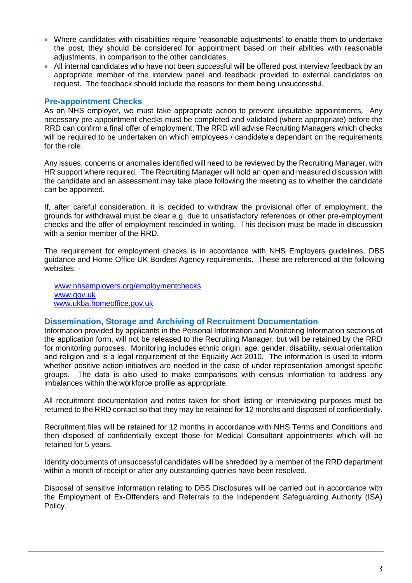- Where candidates with disabilities require 'reasonable adjustments' to enable them to undertake the post, they should be considered for appointment based on their abilities with reasonable adjustments, in comparison to the other candidates.
- All internal candidates who have not been successful will be offered post interview feedback by an appropriate member of the interview panel and feedback provided to external candidates on request. The feedback should include the reasons for them being unsuccessful.

#### **Pre-appointment Checks**

As an NHS employer, we must take appropriate action to prevent unsuitable appointments. Any necessary pre-appointment checks must be completed and validated (where appropriate) before the RRD can confirm a final offer of employment. The RRD will advise Recruiting Managers which checks will be required to be undertaken on which employees / candidate's dependant on the requirements for the role.

Any issues, concerns or anomalies identified will need to be reviewed by the Recruiting Manager, with HR support where required. The Recruiting Manager will hold an open and measured discussion with the candidate and an assessment may take place following the meeting as to whether the candidate can be appointed.

If, after careful consideration, it is decided to withdraw the provisional offer of employment, the grounds for withdrawal must be clear e.g. due to unsatisfactory references or other pre-employment checks and the offer of employment rescinded in writing. This decision must be made in discussion with a senior member of the RRD.

The requirement for employment checks is in accordance with NHS Employers guidelines, DBS guidance and Home Office UK Borders Agency requirements. These are referenced at the following websites: -

[www.nhsemployers.org/employmentchecks](http://www.nhsemployers.org/employmentchecks) [www.gov.uk](http://www.gov.uk/) [www.ukba.homeoffice.gov.uk](http://www.ukba.homeoffice.gov.uk/)

#### **Dissemination, Storage and Archiving of Recruitment Documentation**

Information provided by applicants in the Personal Information and Monitoring Information sections of the application form, will not be released to the Recruiting Manager, but will be retained by the RRD for monitoring purposes. Monitoring includes ethnic origin, age, gender, disability, sexual orientation and religion and is a legal requirement of the Equality Act 2010. The information is used to inform whether positive action initiatives are needed in the case of under representation amongst specific groups. The data is also used to make comparisons with census information to address any imbalances within the workforce profile as appropriate.

All recruitment documentation and notes taken for short listing or interviewing purposes must be returned to the RRD contact so that they may be retained for 12 months and disposed of confidentially.

Recruitment files will be retained for 12 months in accordance with NHS Terms and Conditions and then disposed of confidentially except those for Medical Consultant appointments which will be retained for 5 years.

Identity documents of unsuccessful candidates will be shredded by a member of the RRD department within a month of receipt or after any outstanding queries have been resolved.

Disposal of sensitive information relating to DBS Disclosures will be carried out in accordance with the Employment of Ex-Offenders and Referrals to the Independent Safeguarding Authority (ISA) Policy.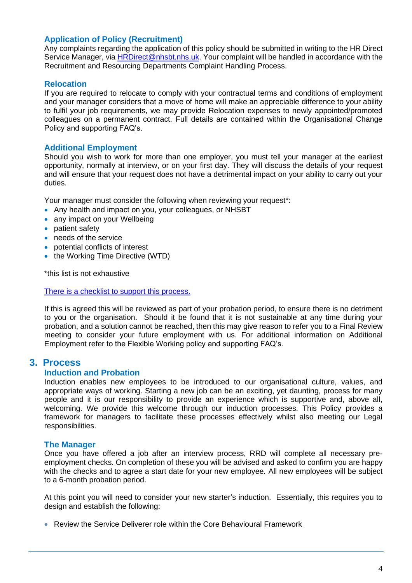# **Application of Policy (Recruitment)**

Any complaints regarding the application of this policy should be submitted in writing to the HR Direct Service Manager, via [HRDirect@nhsbt.nhs.uk.](mailto:HRDirect@nhsbt.nhs.uk) Your complaint will be handled in accordance with the Recruitment and Resourcing Departments Complaint Handling Process.

### **Relocation**

If you are required to relocate to comply with your contractual terms and conditions of employment and your manager considers that a move of home will make an appreciable difference to your ability to fulfil your job requirements, we may provide Relocation expenses to newly appointed/promoted colleagues on a permanent contract. Full details are contained within the Organisational Change Policy and supporting FAQ's.

### **Additional Employment**

Should you wish to work for more than one employer, you must tell your manager at the earliest opportunity, normally at interview, or on your first day. They will discuss the details of your request and will ensure that your request does not have a detrimental impact on your ability to carry out your duties.

Your manager must consider the following when reviewing your request\*:

- Any health and impact on you, your colleagues, or NHSBT
- any impact on your Wellbeing
- patient safety
- needs of the service
- potential conflicts of interest
- the Working Time Directive (WTD)

\*this list is not exhaustive

[There is a checklist to support this process.](https://peoplefirst.nhsbt.nhs.uk/Recruiting/forms-and-checklists.htm)

If this is agreed this will be reviewed as part of your probation period, to ensure there is no detriment to you or the organisation. Should it be found that it is not sustainable at any time during your probation, and a solution cannot be reached, then this may give reason to refer you to a Final Review meeting to consider your future employment with us. For additional information on Additional Employment refer to the Flexible Working policy and supporting FAQ's.

# **3. Process**

#### **Induction and Probation**

Induction enables new employees to be introduced to our organisational culture, values, and appropriate ways of working. Starting a new job can be an exciting, yet daunting, process for many people and it is our responsibility to provide an experience which is supportive and, above all, welcoming. We provide this welcome through our induction processes. This Policy provides a framework for managers to facilitate these processes effectively whilst also meeting our Legal responsibilities.

#### **The Manager**

Once you have offered a job after an interview process, RRD will complete all necessary preemployment checks. On completion of these you will be advised and asked to confirm you are happy with the checks and to agree a start date for your new employee. All new employees will be subject to a 6-month probation period.

At this point you will need to consider your new starter's induction. Essentially, this requires you to design and establish the following:

• Review the Service Deliverer role within the Core Behavioural Framework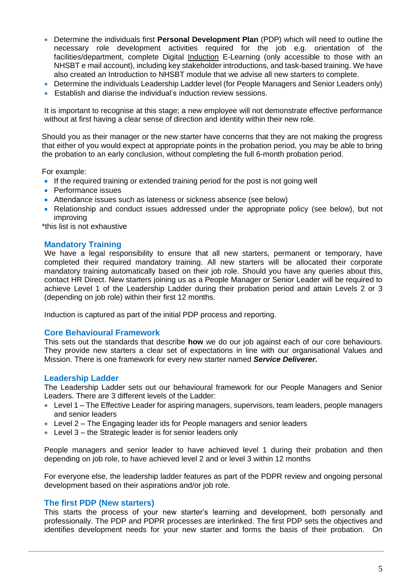- Determine the individuals first **Personal Development Plan** (PDP) which will need to outline the necessary role development activities required for the job e.g. orientation of the facilities/department, complete Digital Induction E-Learning (only accessible to those with an NHSBT e mail account), including key stakeholder introductions, and task-based training. We have also created an Introduction to NHSBT module that we advise all new starters to complete.
- Determine the individuals Leadership Ladder level (for People Managers and Senior Leaders only)
- Establish and diarise the individual's induction review sessions.

It is important to recognise at this stage; a new employee will not demonstrate effective performance without at first having a clear sense of direction and identity within their new role.

Should you as their manager or the new starter have concerns that they are not making the progress that either of you would expect at appropriate points in the probation period, you may be able to bring the probation to an early conclusion, without completing the full 6-month probation period.

For example:

- If the required training or extended training period for the post is not going well
- Performance issues
- Attendance issues such as lateness or sickness absence (see below)
- Relationship and conduct issues addressed under the appropriate policy (see below), but not improving

\*this list is not exhaustive

#### **Mandatory Training**

We have a legal responsibility to ensure that all new starters, permanent or temporary, have completed their required mandatory training. All new starters will be allocated their corporate mandatory training automatically based on their job role. Should you have any queries about this, contact HR Direct. New starters joining us as a People Manager or Senior Leader will be required to achieve Level 1 of the Leadership Ladder during their probation period and attain Levels 2 or 3 (depending on job role) within their first 12 months.

Induction is captured as part of the initial PDP process and reporting.

#### **Core Behavioural Framework**

This sets out the standards that describe **how** we do our job against each of our core behaviours. They provide new starters a clear set of expectations in line with our organisational Values and Mission. There is one framework for every new starter named *Service Deliverer.*

#### **Leadership Ladder**

The Leadership Ladder sets out our behavioural framework for our People Managers and Senior Leaders. There are 3 different levels of the Ladder:

- Level 1 The Effective Leader for aspiring managers, supervisors, team leaders, people managers and senior leaders
- Level 2 The Engaging leader ids for People managers and senior leaders
- Level 3 the Strategic leader is for senior leaders only

People managers and senior leader to have achieved level 1 during their probation and then depending on job role, to have achieved level 2 and or level 3 within 12 months

For everyone else, the leadership ladder features as part of the PDPR review and ongoing personal development based on their aspirations and/or job role.

#### **The first PDP (New starters)**

This starts the process of your new starter's learning and development, both personally and professionally. The PDP and PDPR processes are interlinked. The first PDP sets the objectives and identifies development needs for your new starter and forms the basis of their probation. On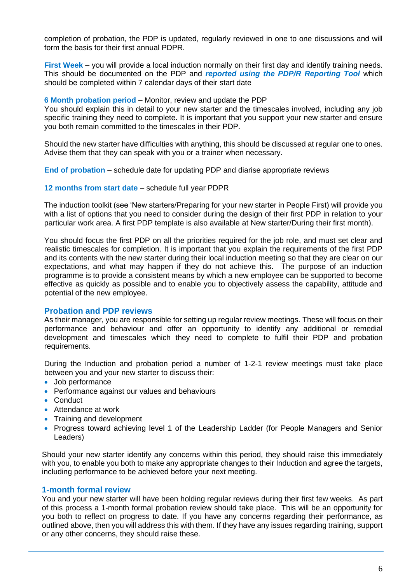completion of probation, the PDP is updated, regularly reviewed in one to one discussions and will form the basis for their first annual PDPR.

**First Week** – you will provide a local induction normally on their first day and identify training needs. This should be documented on the PDP and *reported using the PDP/R Reporting Tool* which should be completed within 7 calendar days of their start date

#### **6 Month probation period** – Monitor, review and update the PDP

You should explain this in detail to your new starter and the timescales involved, including any job specific training they need to complete. It is important that you support your new starter and ensure you both remain committed to the timescales in their PDP.

Should the new starter have difficulties with anything, this should be discussed at regular one to ones. Advise them that they can speak with you or a trainer when necessary.

**End of probation** – schedule date for updating PDP and diarise appropriate reviews

#### **12 months from start date** – schedule full year PDPR

The induction toolkit (see 'New starters/Preparing for your new starter in People First) will provide you with a list of options that you need to consider during the design of their first PDP in relation to your particular work area. A first PDP template is also available at New starter/During their first month).

You should focus the first PDP on all the priorities required for the job role, and must set clear and realistic timescales for completion. It is important that you explain the requirements of the first PDP and its contents with the new starter during their local induction meeting so that they are clear on our expectations, and what may happen if they do not achieve this. The purpose of an induction programme is to provide a consistent means by which a new employee can be supported to become effective as quickly as possible and to enable you to objectively assess the capability, attitude and potential of the new employee.

#### **Probation and PDP reviews**

As their manager, you are responsible for setting up regular review meetings. These will focus on their performance and behaviour and offer an opportunity to identify any additional or remedial development and timescales which they need to complete to fulfil their PDP and probation requirements.

During the Induction and probation period a number of 1-2-1 review meetings must take place between you and your new starter to discuss their:

- Job performance
- Performance against our values and behaviours
- Conduct
- Attendance at work
- Training and development
- Progress toward achieving level 1 of the Leadership Ladder (for People Managers and Senior Leaders)

Should your new starter identify any concerns within this period, they should raise this immediately with you, to enable you both to make any appropriate changes to their Induction and agree the targets, including performance to be achieved before your next meeting.

#### **1-month formal review**

You and your new starter will have been holding regular reviews during their first few weeks. As part of this process a 1-month formal probation review should take place. This will be an opportunity for you both to reflect on progress to date. If you have any concerns regarding their performance, as outlined above, then you will address this with them. If they have any issues regarding training, support or any other concerns, they should raise these.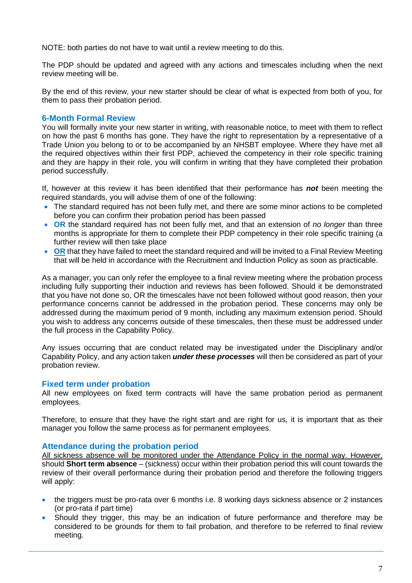NOTE: both parties do not have to wait until a review meeting to do this.

The PDP should be updated and agreed with any actions and timescales including when the next review meeting will be.

By the end of this review, your new starter should be clear of what is expected from both of you, for them to pass their probation period.

## **6-Month Formal Review**

You will formally invite your new starter in writing, with reasonable notice, to meet with them to reflect on how the past 6 months has gone. They have the right to representation by a representative of a Trade Union you belong to or to be accompanied by an NHSBT employee. Where they have met all the required objectives within their first PDP, achieved the competency in their role specific training and they are happy in their role, you will confirm in writing that they have completed their probation period successfully.

If, however at this review it has been identified that their performance has *not* been meeting the required standards, you will advise them of one of the following:

- The standard required has not been fully met, and there are some minor actions to be completed before you can confirm their probation period has been passed
- **OR** the standard required has not been fully met, and that an extension of *no longer* than three months is appropriate for them to complete their PDP competency in their role specific training (a further review will then take place
- **OR** that they have failed to meet the standard required and will be invited to a Final Review Meeting that will be held in accordance with the Recruitment and Induction Policy as soon as practicable.

As a manager, you can only refer the employee to a final review meeting where the probation process including fully supporting their induction and reviews has been followed. Should it be demonstrated that you have not done so, OR the timescales have not been followed without good reason, then your performance concerns cannot be addressed in the probation period. These concerns may only be addressed during the maximum period of 9 month, including any maximum extension period. Should you wish to address any concerns outside of these timescales, then these must be addressed under the full process in the Capability Policy.

Any issues occurring that are conduct related may be investigated under the Disciplinary and/or Capability Policy, and any action taken *under these processes* will then be considered as part of your probation review.

# **Fixed term under probation**

All new employees on fixed term contracts will have the same probation period as permanent employees.

Therefore, to ensure that they have the right start and are right for us, it is important that as their manager you follow the same process as for permanent employees.

#### **Attendance during the probation period**

All sickness absence will be monitored under the Attendance Policy in the normal way. However, should **Short term absence** – (sickness) occur within their probation period this will count towards the review of their overall performance during their probation period and therefore the following triggers will apply:

- the triggers must be pro-rata over 6 months i.e. 8 working days sickness absence or 2 instances (or pro-rata if part time)
- Should they trigger, this may be an indication of future performance and therefore may be considered to be grounds for them to fail probation, and therefore to be referred to final review meeting.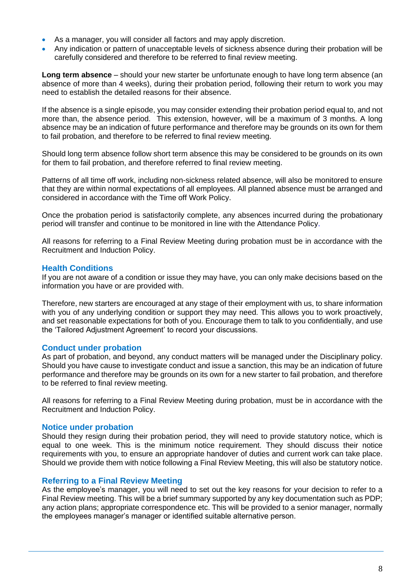- As a manager, you will consider all factors and may apply discretion.
- Any indication or pattern of unacceptable levels of sickness absence during their probation will be carefully considered and therefore to be referred to final review meeting.

**Long term absence** – should your new starter be unfortunate enough to have long term absence (an absence of more than 4 weeks), during their probation period, following their return to work you may need to establish the detailed reasons for their absence.

If the absence is a single episode, you may consider extending their probation period equal to, and not more than, the absence period. This extension, however, will be a maximum of 3 months. A long absence may be an indication of future performance and therefore may be grounds on its own for them to fail probation, and therefore to be referred to final review meeting.

Should long term absence follow short term absence this may be considered to be grounds on its own for them to fail probation, and therefore referred to final review meeting.

Patterns of all time off work, including non-sickness related absence, will also be monitored to ensure that they are within normal expectations of all employees. All planned absence must be arranged and considered in accordance with the Time off Work Policy.

Once the probation period is satisfactorily complete, any absences incurred during the probationary period will transfer and continue to be monitored in line with the Attendance Policy.

All reasons for referring to a Final Review Meeting during probation must be in accordance with the Recruitment and Induction Policy.

### **Health Conditions**

If you are not aware of a condition or issue they may have, you can only make decisions based on the information you have or are provided with.

Therefore, new starters are encouraged at any stage of their employment with us, to share information with you of any underlying condition or support they may need. This allows you to work proactively, and set reasonable expectations for both of you. Encourage them to talk to you confidentially, and use the 'Tailored Adjustment Agreement' to record your discussions.

# **Conduct under probation**

As part of probation, and beyond, any conduct matters will be managed under the Disciplinary policy. Should you have cause to investigate conduct and issue a sanction, this may be an indication of future performance and therefore may be grounds on its own for a new starter to fail probation, and therefore to be referred to final review meeting.

All reasons for referring to a Final Review Meeting during probation, must be in accordance with the Recruitment and Induction Policy.

#### **Notice under probation**

Should they resign during their probation period, they will need to provide statutory notice, which is equal to one week. This is the minimum notice requirement. They should discuss their notice requirements with you, to ensure an appropriate handover of duties and current work can take place. Should we provide them with notice following a Final Review Meeting, this will also be statutory notice.

#### **Referring to a Final Review Meeting**

As the employee's manager, you will need to set out the key reasons for your decision to refer to a Final Review meeting. This will be a brief summary supported by any key documentation such as PDP; any action plans; appropriate correspondence etc. This will be provided to a senior manager, normally the employees manager's manager or identified suitable alternative person.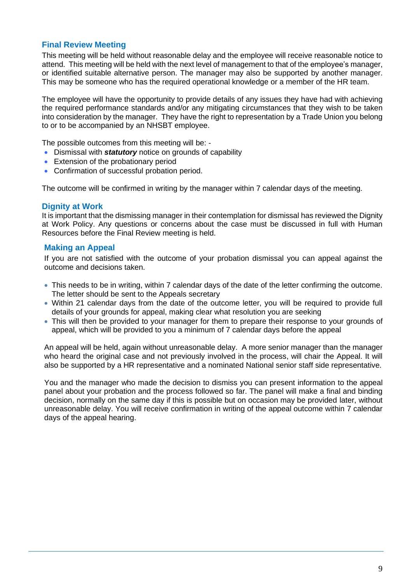# **Final Review Meeting**

This meeting will be held without reasonable delay and the employee will receive reasonable notice to attend. This meeting will be held with the next level of management to that of the employee's manager, or identified suitable alternative person. The manager may also be supported by another manager. This may be someone who has the required operational knowledge or a member of the HR team.

The employee will have the opportunity to provide details of any issues they have had with achieving the required performance standards and/or any mitigating circumstances that they wish to be taken into consideration by the manager. They have the right to representation by a Trade Union you belong to or to be accompanied by an NHSBT employee.

The possible outcomes from this meeting will be: -

- Dismissal with *statutory* notice on grounds of capability
- Extension of the probationary period
- Confirmation of successful probation period.

The outcome will be confirmed in writing by the manager within 7 calendar days of the meeting.

#### **Dignity at Work**

It is important that the dismissing manager in their contemplation for dismissal has reviewed the Dignity at Work Policy. Any questions or concerns about the case must be discussed in full with Human Resources before the Final Review meeting is held.

### **Making an Appeal**

If you are not satisfied with the outcome of your probation dismissal you can appeal against the outcome and decisions taken.

- This needs to be in writing, within 7 calendar days of the date of the letter confirming the outcome. The letter should be sent to the Appeals secretary
- Within 21 calendar days from the date of the outcome letter, you will be required to provide full details of your grounds for appeal, making clear what resolution you are seeking
- This will then be provided to your manager for them to prepare their response to your grounds of appeal, which will be provided to you a minimum of 7 calendar days before the appeal

An appeal will be held, again without unreasonable delay. A more senior manager than the manager who heard the original case and not previously involved in the process, will chair the Appeal. It will also be supported by a HR representative and a nominated National senior staff side representative.

You and the manager who made the decision to dismiss you can present information to the appeal panel about your probation and the process followed so far. The panel will make a final and binding decision, normally on the same day if this is possible but on occasion may be provided later, without unreasonable delay. You will receive confirmation in writing of the appeal outcome within 7 calendar days of the appeal hearing.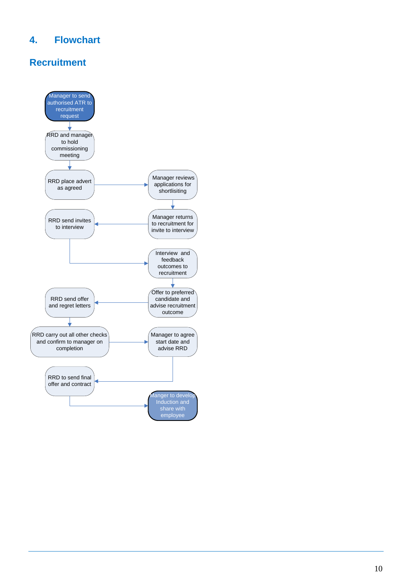# **4. Flowchart**

# **Recruitment**

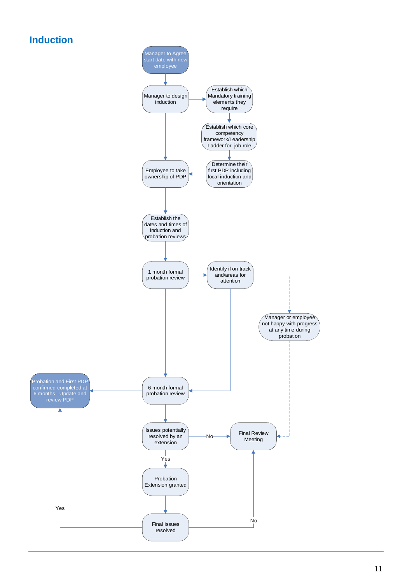# **Induction**